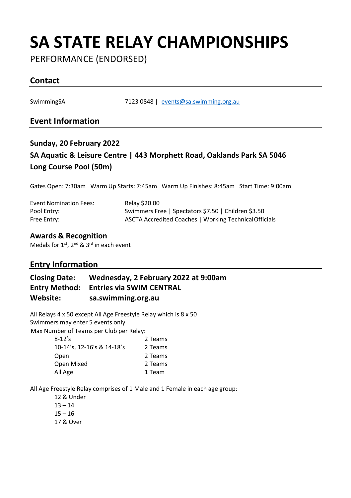## **SA STATE RELAY CHAMPIONSHIPS**

PERFORMANCE (ENDORSED)

### **Contact**

SwimmingSA 7123 0848 | [events@sa.swimming.org.au](mailto:events@sa.swimming.org.au)

#### **Event Information**

## **Sunday, 20 February 2022 SA Aquatic & Leisure Centre | 443 Morphett Road, Oaklands Park SA 5046 Long Course Pool (50m)**

Gates Open: 7:30am Warm Up Starts: 7:45am Warm Up Finishes: 8:45am Start Time: 9:00am

| <b>Event Nomination Fees:</b> | Relay \$20.00                                          |
|-------------------------------|--------------------------------------------------------|
| Pool Entry:                   | Swimmers Free   Spectators \$7.50   Children \$3.50    |
| Free Entry:                   | ASCTA Accredited Coaches   Working Technical Officials |

#### **Awards & Recognition**

Medals for 1<sup>st</sup>, 2<sup>nd</sup> & 3<sup>rd</sup> in each event

#### **Entry Information**

| <b>Closing Date:</b> | Wednesday, 2 February 2022 at 9:00am          |
|----------------------|-----------------------------------------------|
|                      | <b>Entry Method: Entries via SWIM CENTRAL</b> |
| Website:             | sa.swimming.org.au                            |

All Relays 4 x 50 except All Age Freestyle Relay which is 8 x 50 Swimmers may enter 5 events only Max Number of Teams per Club per Relay:

| $8 - 12's$                 | 2 Teams |
|----------------------------|---------|
| 10-14's. 12-16's & 14-18's | 2 Teams |
| Open                       | 2 Teams |
| Open Mixed                 | 2 Teams |
| All Age                    | 1 Team  |
|                            |         |

All Age Freestyle Relay comprises of 1 Male and 1 Female in each age group:

12 & Under  $13 - 14$  $15 - 16$ 17 & Over